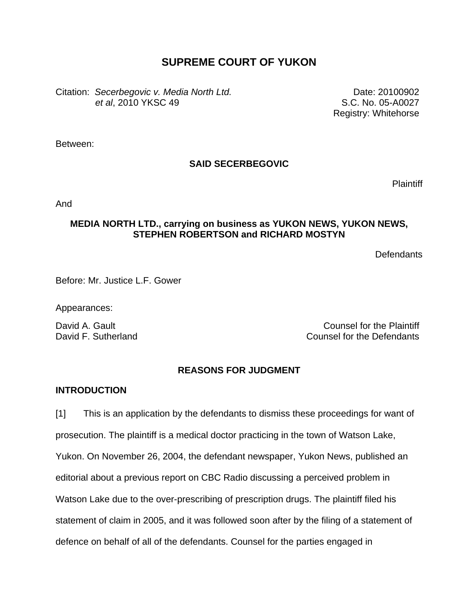# **SUPREME COURT OF YUKON**

Citation: *Secerbegovic v. Media North Ltd. et al*, 2010 YKSC 49

Date: 20100902 S.C. No. 05-A0027 Registry: Whitehorse

Between:

# **SAID SECERBEGOVIC**

Plaintiff

And

## **MEDIA NORTH LTD., carrying on business as YUKON NEWS, YUKON NEWS, STEPHEN ROBERTSON and RICHARD MOSTYN**

**Defendants** 

Before: Mr. Justice L.F. Gower

Appearances:

David A. Gault Counsel for the Plaintiff David F. Sutherland Counsel for the Defendants

# **REASONS FOR JUDGMENT**

## **INTRODUCTION**

[1] This is an application by the defendants to dismiss these proceedings for want of prosecution. The plaintiff is a medical doctor practicing in the town of Watson Lake, Yukon. On November 26, 2004, the defendant newspaper, Yukon News, published an editorial about a previous report on CBC Radio discussing a perceived problem in Watson Lake due to the over-prescribing of prescription drugs. The plaintiff filed his statement of claim in 2005, and it was followed soon after by the filing of a statement of defence on behalf of all of the defendants. Counsel for the parties engaged in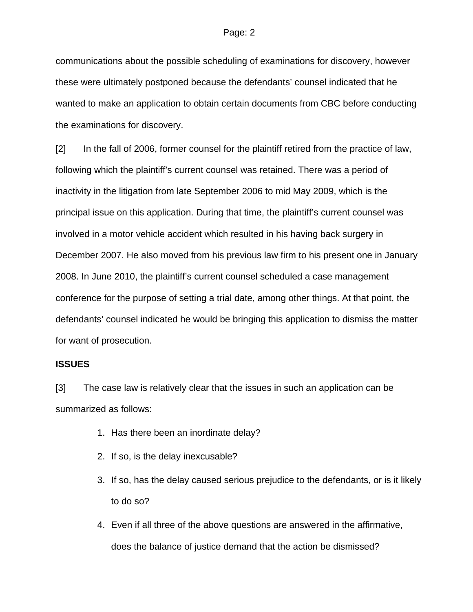communications about the possible scheduling of examinations for discovery, however these were ultimately postponed because the defendants' counsel indicated that he wanted to make an application to obtain certain documents from CBC before conducting the examinations for discovery.

[2] In the fall of 2006, former counsel for the plaintiff retired from the practice of law, following which the plaintiff's current counsel was retained. There was a period of inactivity in the litigation from late September 2006 to mid May 2009, which is the principal issue on this application. During that time, the plaintiff's current counsel was involved in a motor vehicle accident which resulted in his having back surgery in December 2007. He also moved from his previous law firm to his present one in January 2008. In June 2010, the plaintiff's current counsel scheduled a case management conference for the purpose of setting a trial date, among other things. At that point, the defendants' counsel indicated he would be bringing this application to dismiss the matter for want of prosecution.

### **ISSUES**

[3] The case law is relatively clear that the issues in such an application can be summarized as follows:

- 1. Has there been an inordinate delay?
- 2. If so, is the delay inexcusable?
- 3. If so, has the delay caused serious prejudice to the defendants, or is it likely to do so?
- 4. Even if all three of the above questions are answered in the affirmative, does the balance of justice demand that the action be dismissed?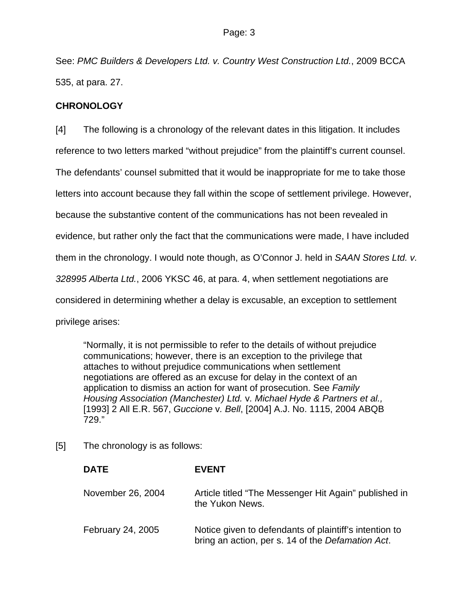See: *PMC Builders & Developers Ltd. v. Country West Construction Ltd.*, 2009 BCCA 535, at para. 27.

# **CHRONOLOGY**

[4] The following is a chronology of the relevant dates in this litigation. It includes reference to two letters marked "without prejudice" from the plaintiff's current counsel. The defendants' counsel submitted that it would be inappropriate for me to take those letters into account because they fall within the scope of settlement privilege. However, because the substantive content of the communications has not been revealed in evidence, but rather only the fact that the communications were made, I have included them in the chronology. I would note though, as O'Connor J. held in *SAAN Stores Ltd. v. 328995 Alberta Ltd.*, 2006 YKSC 46, at para. 4, when settlement negotiations are considered in determining whether a delay is excusable, an exception to settlement privilege arises:

"Normally, it is not permissible to refer to the details of without prejudice communications; however, there is an exception to the privilege that attaches to without prejudice communications when settlement negotiations are offered as an excuse for delay in the context of an application to dismiss an action for want of prosecution. See *Family Housing Association (Manchester) Ltd.* v*. Michael Hyde & Partners et al.,* [1993] 2 All E.R. 567, *Guccione* v*. Bell*, [\[2004\] A.J. No. 1115,](http://www.lexisnexis.com/ca/legal/search/runRemoteLink.do?langcountry=CA&linkInfo=F%23CA%23AJ%23year%252004%25sel1%252004%25ref%251115%25&risb=21_T10013874084&bct=A&service=citation&A=0.5838205905214635) [2004 ABQB](http://www.lexisnexis.com/ca/legal/search/runRemoteLink.do?langcountry=CA&linkInfo=F%23CA%23ABQB%23onum%25729%25decisiondate%252004%25year%252004%25sel1%252004%25&risb=21_T10013874084&bct=A&service=citation&A=0.9680598027496571)  [729.](http://www.lexisnexis.com/ca/legal/search/runRemoteLink.do?langcountry=CA&linkInfo=F%23CA%23ABQB%23onum%25729%25decisiondate%252004%25year%252004%25sel1%252004%25&risb=21_T10013874084&bct=A&service=citation&A=0.9680598027496571)"

[5] The chronology is as follows:

| <b>DATE</b>              | <b>EVENT</b>                                                                                                |
|--------------------------|-------------------------------------------------------------------------------------------------------------|
| November 26, 2004        | Article titled "The Messenger Hit Again" published in<br>the Yukon News.                                    |
| <b>February 24, 2005</b> | Notice given to defendants of plaintiff's intention to<br>bring an action, per s. 14 of the Defamation Act. |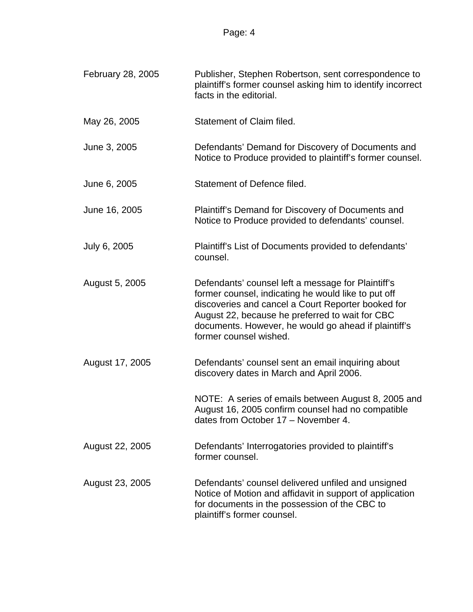| February 28, 2005 | Publisher, Stephen Robertson, sent correspondence to<br>plaintiff's former counsel asking him to identify incorrect<br>facts in the editorial.                                                                                                                                                       |
|-------------------|------------------------------------------------------------------------------------------------------------------------------------------------------------------------------------------------------------------------------------------------------------------------------------------------------|
| May 26, 2005      | Statement of Claim filed.                                                                                                                                                                                                                                                                            |
| June 3, 2005      | Defendants' Demand for Discovery of Documents and<br>Notice to Produce provided to plaintiff's former counsel.                                                                                                                                                                                       |
| June 6, 2005      | Statement of Defence filed.                                                                                                                                                                                                                                                                          |
| June 16, 2005     | Plaintiff's Demand for Discovery of Documents and<br>Notice to Produce provided to defendants' counsel.                                                                                                                                                                                              |
| July 6, 2005      | Plaintiff's List of Documents provided to defendants'<br>counsel.                                                                                                                                                                                                                                    |
| August 5, 2005    | Defendants' counsel left a message for Plaintiff's<br>former counsel, indicating he would like to put off<br>discoveries and cancel a Court Reporter booked for<br>August 22, because he preferred to wait for CBC<br>documents. However, he would go ahead if plaintiff's<br>former counsel wished. |
| August 17, 2005   | Defendants' counsel sent an email inquiring about<br>discovery dates in March and April 2006.                                                                                                                                                                                                        |
|                   | NOTE: A series of emails between August 8, 2005 and<br>August 16, 2005 confirm counsel had no compatible<br>dates from October 17 - November 4.                                                                                                                                                      |
| August 22, 2005   | Defendants' Interrogatories provided to plaintiff's<br>former counsel.                                                                                                                                                                                                                               |
| August 23, 2005   | Defendants' counsel delivered unfiled and unsigned<br>Notice of Motion and affidavit in support of application<br>for documents in the possession of the CBC to<br>plaintiff's former counsel.                                                                                                       |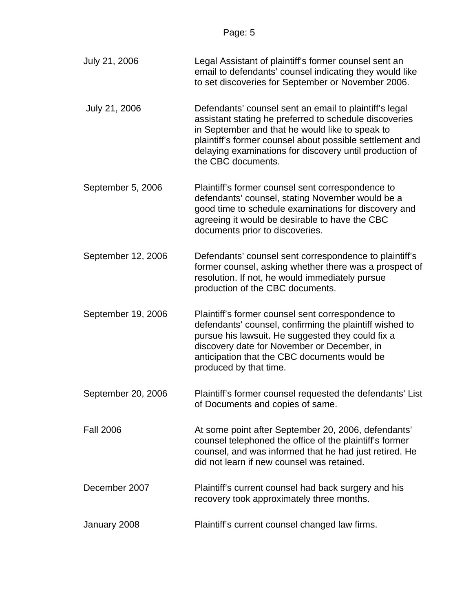| July 21, 2006      | Legal Assistant of plaintiff's former counsel sent an<br>email to defendants' counsel indicating they would like<br>to set discoveries for September or November 2006.                                                                                                                                           |
|--------------------|------------------------------------------------------------------------------------------------------------------------------------------------------------------------------------------------------------------------------------------------------------------------------------------------------------------|
| July 21, 2006      | Defendants' counsel sent an email to plaintiff's legal<br>assistant stating he preferred to schedule discoveries<br>in September and that he would like to speak to<br>plaintiff's former counsel about possible settlement and<br>delaying examinations for discovery until production of<br>the CBC documents. |
| September 5, 2006  | Plaintiff's former counsel sent correspondence to<br>defendants' counsel, stating November would be a<br>good time to schedule examinations for discovery and<br>agreeing it would be desirable to have the CBC<br>documents prior to discoveries.                                                               |
| September 12, 2006 | Defendants' counsel sent correspondence to plaintiff's<br>former counsel, asking whether there was a prospect of<br>resolution. If not, he would immediately pursue<br>production of the CBC documents.                                                                                                          |
| September 19, 2006 | Plaintiff's former counsel sent correspondence to<br>defendants' counsel, confirming the plaintiff wished to<br>pursue his lawsuit. He suggested they could fix a<br>discovery date for November or December, in<br>anticipation that the CBC documents would be<br>produced by that time.                       |
| September 20, 2006 | Plaintiff's former counsel requested the defendants' List<br>of Documents and copies of same.                                                                                                                                                                                                                    |
| <b>Fall 2006</b>   | At some point after September 20, 2006, defendants'<br>counsel telephoned the office of the plaintiff's former<br>counsel, and was informed that he had just retired. He<br>did not learn if new counsel was retained.                                                                                           |
| December 2007      | Plaintiff's current counsel had back surgery and his<br>recovery took approximately three months.                                                                                                                                                                                                                |
| January 2008       | Plaintiff's current counsel changed law firms.                                                                                                                                                                                                                                                                   |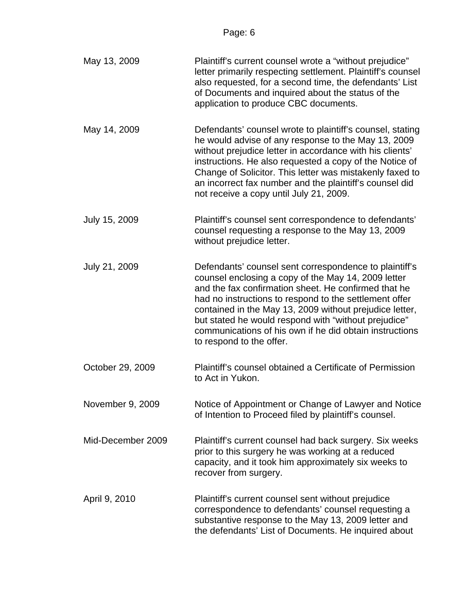| May 13, 2009      | Plaintiff's current counsel wrote a "without prejudice"<br>letter primarily respecting settlement. Plaintiff's counsel<br>also requested, for a second time, the defendants' List<br>of Documents and inquired about the status of the<br>application to produce CBC documents.                                                                                                                                                           |
|-------------------|-------------------------------------------------------------------------------------------------------------------------------------------------------------------------------------------------------------------------------------------------------------------------------------------------------------------------------------------------------------------------------------------------------------------------------------------|
| May 14, 2009      | Defendants' counsel wrote to plaintiff's counsel, stating<br>he would advise of any response to the May 13, 2009<br>without prejudice letter in accordance with his clients'<br>instructions. He also requested a copy of the Notice of<br>Change of Solicitor. This letter was mistakenly faxed to<br>an incorrect fax number and the plaintiff's counsel did<br>not receive a copy until July 21, 2009.                                 |
| July 15, 2009     | Plaintiff's counsel sent correspondence to defendants'<br>counsel requesting a response to the May 13, 2009<br>without prejudice letter.                                                                                                                                                                                                                                                                                                  |
| July 21, 2009     | Defendants' counsel sent correspondence to plaintiff's<br>counsel enclosing a copy of the May 14, 2009 letter<br>and the fax confirmation sheet. He confirmed that he<br>had no instructions to respond to the settlement offer<br>contained in the May 13, 2009 without prejudice letter,<br>but stated he would respond with "without prejudice"<br>communications of his own if he did obtain instructions<br>to respond to the offer. |
| October 29, 2009  | Plaintiff's counsel obtained a Certificate of Permission<br>to Act in Yukon.                                                                                                                                                                                                                                                                                                                                                              |
| November 9, 2009  | Notice of Appointment or Change of Lawyer and Notice<br>of Intention to Proceed filed by plaintiff's counsel.                                                                                                                                                                                                                                                                                                                             |
| Mid-December 2009 | Plaintiff's current counsel had back surgery. Six weeks<br>prior to this surgery he was working at a reduced<br>capacity, and it took him approximately six weeks to<br>recover from surgery.                                                                                                                                                                                                                                             |
| April 9, 2010     | Plaintiff's current counsel sent without prejudice<br>correspondence to defendants' counsel requesting a<br>substantive response to the May 13, 2009 letter and<br>the defendants' List of Documents. He inquired about                                                                                                                                                                                                                   |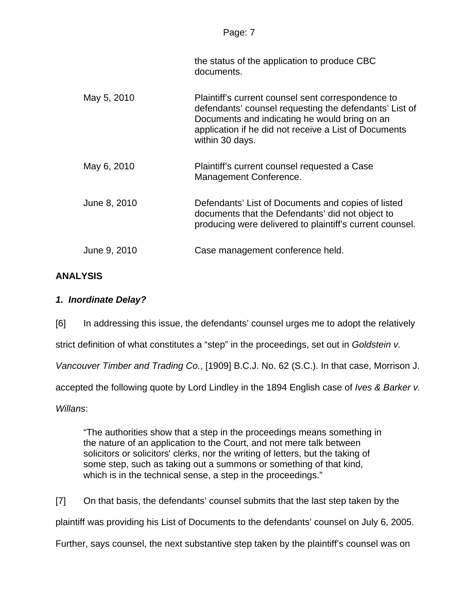| . .<br>- |  |
|----------|--|
|          |  |

the status of the application to produce CBC documents.

| May 5, 2010  | Plaintiff's current counsel sent correspondence to<br>defendants' counsel requesting the defendants' List of<br>Documents and indicating he would bring on an<br>application if he did not receive a List of Documents<br>within 30 days. |
|--------------|-------------------------------------------------------------------------------------------------------------------------------------------------------------------------------------------------------------------------------------------|
| May 6, 2010  | Plaintiff's current counsel requested a Case<br>Management Conference.                                                                                                                                                                    |
| June 8, 2010 | Defendants' List of Documents and copies of listed<br>documents that the Defendants' did not object to<br>producing were delivered to plaintiff's current counsel.                                                                        |
| June 9, 2010 | Case management conference held.                                                                                                                                                                                                          |

## **ANALYSIS**

# *1. Inordinate Delay?*

[6] In addressing this issue, the defendants' counsel urges me to adopt the relatively

strict definition of what constitutes a "step" in the proceedings, set out in *Goldstein v.* 

*Vancouver Timber and Trading Co.*, [1909] B.C.J. No. 62 (S.C.). In that case, Morrison J.

accepted the following quote by Lord Lindley in the 1894 English case of *Ives & Barker v.* 

*Willans*:

"The authorities show that a step in the proceedings means something in the nature of an application to the Court, and not mere talk between solicitors or solicitors' clerks, nor the writing of letters, but the taking of some step, such as taking out a summons or something of that kind, which is in the technical sense, a step in the proceedings."

[7] On that basis, the defendants' counsel submits that the last step taken by the plaintiff was providing his List of Documents to the defendants' counsel on July 6, 2005. Further, says counsel, the next substantive step taken by the plaintiff's counsel was on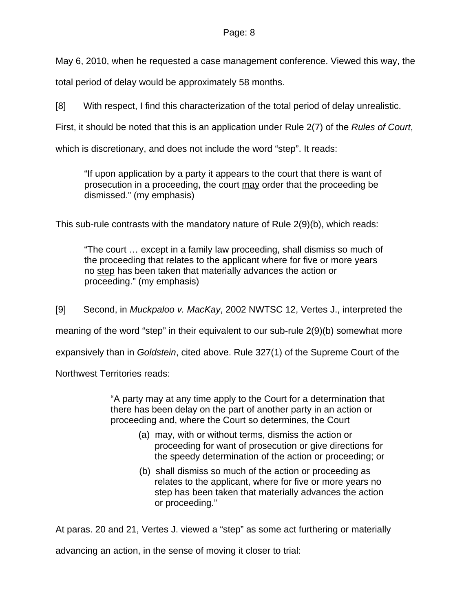May 6, 2010, when he requested a case management conference. Viewed this way, the

total period of delay would be approximately 58 months.

[8] With respect, I find this characterization of the total period of delay unrealistic.

First, it should be noted that this is an application under Rule 2(7) of the *Rules of Court*,

which is discretionary, and does not include the word "step". It reads:

"If upon application by a party it appears to the court that there is want of prosecution in a proceeding, the court may order that the proceeding be dismissed." (my emphasis)

This sub-rule contrasts with the mandatory nature of Rule 2(9)(b), which reads:

"The court … except in a family law proceeding, shall dismiss so much of the proceeding that relates to the applicant where for five or more years no step has been taken that materially advances the action or proceeding." (my emphasis)

[9] Second, in *Muckpaloo v. MacKay*, 2002 NWTSC 12, Vertes J., interpreted the

meaning of the word "step" in their equivalent to our sub-rule 2(9)(b) somewhat more

expansively than in *Goldstein*, cited above. Rule 327(1) of the Supreme Court of the

Northwest Territories reads:

"A party may at any time apply to the Court for a determination that there has been delay on the part of another party in an action or proceeding and, where the Court so determines, the Court

- (a) may, with or without terms, dismiss the action or proceeding for want of prosecution or give directions for the speedy determination of the action or proceeding; or
- (b) shall dismiss so much of the action or proceeding as relates to the applicant, where for five or more years no step has been taken that materially advances the action or proceeding."

At paras. 20 and 21, Vertes J. viewed a "step" as some act furthering or materially

advancing an action, in the sense of moving it closer to trial: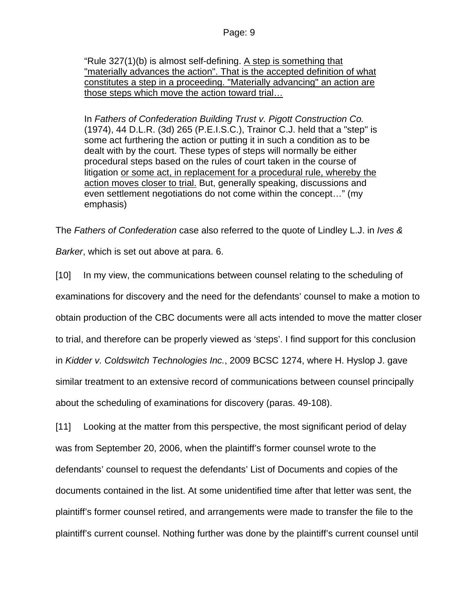"Rule 327(1)(b) is almost self-defining. A step is something that "materially advances the action". That is the accepted definition of what constitutes a step in a proceeding. "Materially advancing" an action are those steps which move the action toward trial…

In *Fathers of Confederation Building Trust v. Pigott Construction Co.* [\(1974\), 44 D.L.R. \(3d\) 265](http://www.lexisnexis.com/ca/legal/search/runRemoteLink.do?langcountry=CA&linkInfo=F%23CA%23DLR3%23decisiondate%251974%25sel2%2544%25year%251974%25page%25265%25sel1%251974%25vol%2544%25&risb=21_T10014222400&bct=A&service=citation&A=0.8731464060979337) (P.E.I.S.C.), Trainor C.J. held that a "step" is some act furthering the action or putting it in such a condition as to be dealt with by the court. These types of steps will normally be either procedural steps based on the rules of court taken in the course of litigation or some act, in replacement for a procedural rule, whereby the action moves closer to trial. But, generally speaking, discussions and even settlement negotiations do not come within the concept…" (my emphasis)

The *Fathers of Confederation* case also referred to the quote of Lindley L.J. in *Ives &* 

*Barker*, which is set out above at para. 6.

[10] In my view, the communications between counsel relating to the scheduling of examinations for discovery and the need for the defendants' counsel to make a motion to obtain production of the CBC documents were all acts intended to move the matter closer to trial, and therefore can be properly viewed as 'steps'. I find support for this conclusion in *Kidder v. Coldswitch Technologies Inc.*, 2009 BCSC 1274, where H. Hyslop J. gave similar treatment to an extensive record of communications between counsel principally about the scheduling of examinations for discovery (paras. 49-108).

[11] Looking at the matter from this perspective, the most significant period of delay was from September 20, 2006, when the plaintiff's former counsel wrote to the defendants' counsel to request the defendants' List of Documents and copies of the documents contained in the list. At some unidentified time after that letter was sent, the plaintiff's former counsel retired, and arrangements were made to transfer the file to the plaintiff's current counsel. Nothing further was done by the plaintiff's current counsel until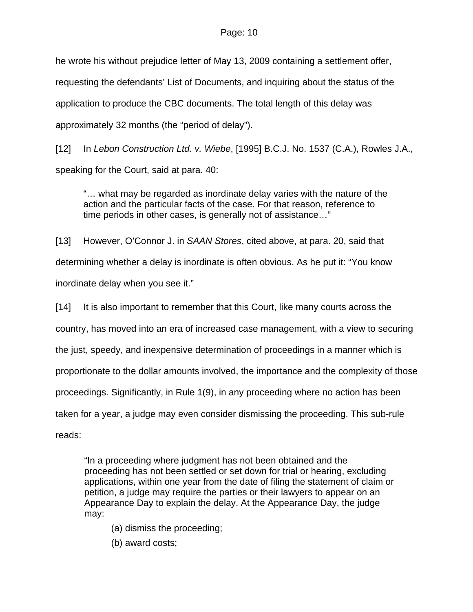he wrote his without prejudice letter of May 13, 2009 containing a settlement offer, requesting the defendants' List of Documents, and inquiring about the status of the application to produce the CBC documents. The total length of this delay was approximately 32 months (the "period of delay").

[12] In *Lebon Construction Ltd. v. Wiebe*, [1995] B.C.J. No. 1537 (C.A.), Rowles J.A., speaking for the Court, said at para. 40:

"… what may be regarded as inordinate delay varies with the nature of the action and the particular facts of the case. For that reason, reference to time periods in other cases, is generally not of assistance…"

[13] However, O'Connor J. in *SAAN Stores*, cited above, at para. 20, said that determining whether a delay is inordinate is often obvious. As he put it: "You know inordinate delay when you see it."

[14] It is also important to remember that this Court, like many courts across the country, has moved into an era of increased case management, with a view to securing the just, speedy, and inexpensive determination of proceedings in a manner which is proportionate to the dollar amounts involved, the importance and the complexity of those proceedings. Significantly, in Rule 1(9), in any proceeding where no action has been taken for a year, a judge may even consider dismissing the proceeding. This sub-rule

reads:

"In a proceeding where judgment has not been obtained and the proceeding has not been settled or set down for trial or hearing, excluding applications, within one year from the date of filing the statement of claim or petition, a judge may require the parties or their lawyers to appear on an Appearance Day to explain the delay. At the Appearance Day, the judge may:

(a) dismiss the proceeding;

(b) award costs;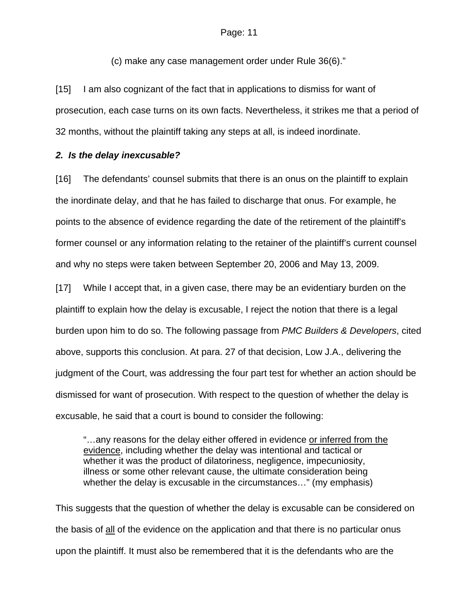(c) make any case management order under Rule 36(6)."

[15] I am also cognizant of the fact that in applications to dismiss for want of prosecution, each case turns on its own facts. Nevertheless, it strikes me that a period of 32 months, without the plaintiff taking any steps at all, is indeed inordinate.

#### *2. Is the delay inexcusable?*

[16] The defendants' counsel submits that there is an onus on the plaintiff to explain the inordinate delay, and that he has failed to discharge that onus. For example, he points to the absence of evidence regarding the date of the retirement of the plaintiff's former counsel or any information relating to the retainer of the plaintiff's current counsel and why no steps were taken between September 20, 2006 and May 13, 2009.

[17] While I accept that, in a given case, there may be an evidentiary burden on the plaintiff to explain how the delay is excusable, I reject the notion that there is a legal burden upon him to do so. The following passage from *PMC Builders & Developers*, cited above, supports this conclusion. At para. 27 of that decision, Low J.A., delivering the judgment of the Court, was addressing the four part test for whether an action should be dismissed for want of prosecution. With respect to the question of whether the delay is excusable, he said that a court is bound to consider the following:

"…any reasons for the delay either offered in evidence or inferred from the evidence, including whether the delay was intentional and tactical or whether it was the product of dilatoriness, negligence, impecuniosity, illness or some other relevant cause, the ultimate consideration being whether the delay is excusable in the circumstances…" (my emphasis)

This suggests that the question of whether the delay is excusable can be considered on the basis of all of the evidence on the application and that there is no particular onus upon the plaintiff. It must also be remembered that it is the defendants who are the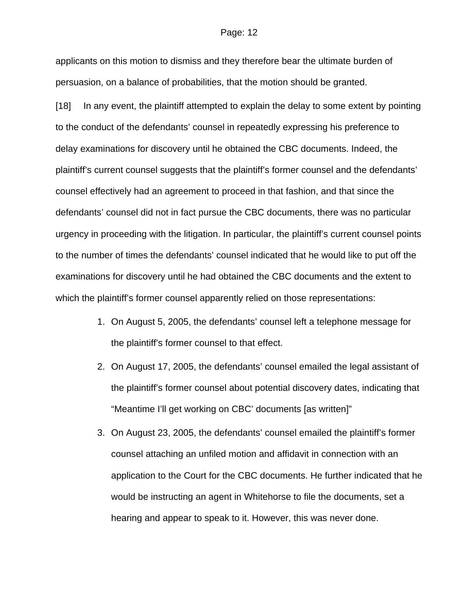applicants on this motion to dismiss and they therefore bear the ultimate burden of persuasion, on a balance of probabilities, that the motion should be granted.

[18] In any event, the plaintiff attempted to explain the delay to some extent by pointing to the conduct of the defendants' counsel in repeatedly expressing his preference to delay examinations for discovery until he obtained the CBC documents. Indeed, the plaintiff's current counsel suggests that the plaintiff's former counsel and the defendants' counsel effectively had an agreement to proceed in that fashion, and that since the defendants' counsel did not in fact pursue the CBC documents, there was no particular urgency in proceeding with the litigation. In particular, the plaintiff's current counsel points to the number of times the defendants' counsel indicated that he would like to put off the examinations for discovery until he had obtained the CBC documents and the extent to which the plaintiff's former counsel apparently relied on those representations:

- 1. On August 5, 2005, the defendants' counsel left a telephone message for the plaintiff's former counsel to that effect.
- 2. On August 17, 2005, the defendants' counsel emailed the legal assistant of the plaintiff's former counsel about potential discovery dates, indicating that "Meantime I'll get working on CBC' documents [as written]"
- 3. On August 23, 2005, the defendants' counsel emailed the plaintiff's former counsel attaching an unfiled motion and affidavit in connection with an application to the Court for the CBC documents. He further indicated that he would be instructing an agent in Whitehorse to file the documents, set a hearing and appear to speak to it. However, this was never done.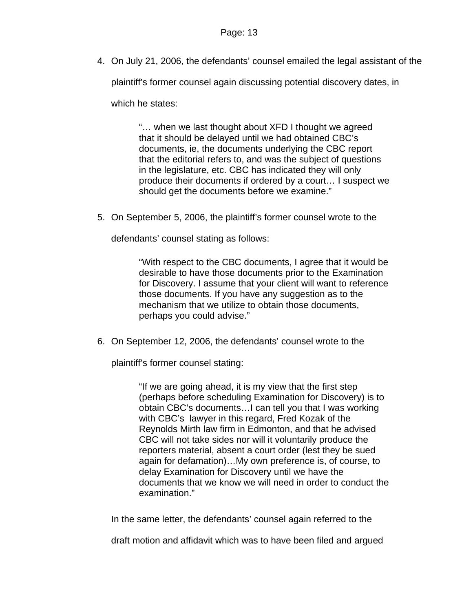4. On July 21, 2006, the defendants' counsel emailed the legal assistant of the

plaintiff's former counsel again discussing potential discovery dates, in

which he states:

"… when we last thought about XFD I thought we agreed that it should be delayed until we had obtained CBC's documents, ie, the documents underlying the CBC report that the editorial refers to, and was the subject of questions in the legislature, etc. CBC has indicated they will only produce their documents if ordered by a court… I suspect we should get the documents before we examine."

5. On September 5, 2006, the plaintiff's former counsel wrote to the

defendants' counsel stating as follows:

"With respect to the CBC documents, I agree that it would be desirable to have those documents prior to the Examination for Discovery. I assume that your client will want to reference those documents. If you have any suggestion as to the mechanism that we utilize to obtain those documents, perhaps you could advise."

6. On September 12, 2006, the defendants' counsel wrote to the

plaintiff's former counsel stating:

"If we are going ahead, it is my view that the first step (perhaps before scheduling Examination for Discovery) is to obtain CBC's documents…I can tell you that I was working with CBC's lawyer in this regard, Fred Kozak of the Reynolds Mirth law firm in Edmonton, and that he advised CBC will not take sides nor will it voluntarily produce the reporters material, absent a court order (lest they be sued again for defamation)…My own preference is, of course, to delay Examination for Discovery until we have the documents that we know we will need in order to conduct the examination."

In the same letter, the defendants' counsel again referred to the

draft motion and affidavit which was to have been filed and argued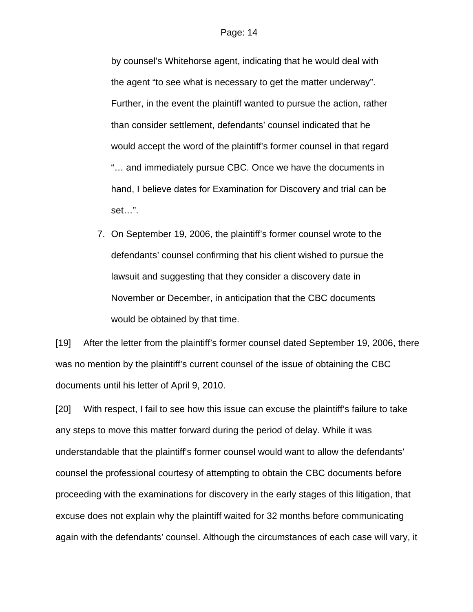by counsel's Whitehorse agent, indicating that he would deal with the agent "to see what is necessary to get the matter underway". Further, in the event the plaintiff wanted to pursue the action, rather than consider settlement, defendants' counsel indicated that he would accept the word of the plaintiff's former counsel in that regard "… and immediately pursue CBC. Once we have the documents in hand, I believe dates for Examination for Discovery and trial can be set…".

7. On September 19, 2006, the plaintiff's former counsel wrote to the defendants' counsel confirming that his client wished to pursue the lawsuit and suggesting that they consider a discovery date in November or December, in anticipation that the CBC documents would be obtained by that time.

[19] After the letter from the plaintiff's former counsel dated September 19, 2006, there was no mention by the plaintiff's current counsel of the issue of obtaining the CBC documents until his letter of April 9, 2010.

[20] With respect, I fail to see how this issue can excuse the plaintiff's failure to take any steps to move this matter forward during the period of delay. While it was understandable that the plaintiff's former counsel would want to allow the defendants' counsel the professional courtesy of attempting to obtain the CBC documents before proceeding with the examinations for discovery in the early stages of this litigation, that excuse does not explain why the plaintiff waited for 32 months before communicating again with the defendants' counsel. Although the circumstances of each case will vary, it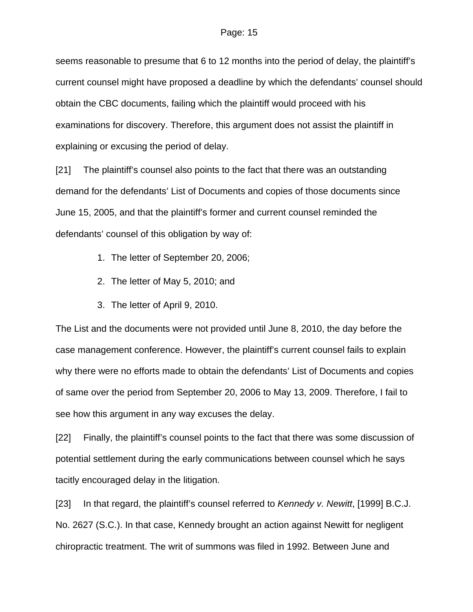seems reasonable to presume that 6 to 12 months into the period of delay, the plaintiff's current counsel might have proposed a deadline by which the defendants' counsel should obtain the CBC documents, failing which the plaintiff would proceed with his examinations for discovery. Therefore, this argument does not assist the plaintiff in explaining or excusing the period of delay.

[21] The plaintiff's counsel also points to the fact that there was an outstanding demand for the defendants' List of Documents and copies of those documents since June 15, 2005, and that the plaintiff's former and current counsel reminded the defendants' counsel of this obligation by way of:

- 1. The letter of September 20, 2006;
- 2. The letter of May 5, 2010; and
- 3. The letter of April 9, 2010.

The List and the documents were not provided until June 8, 2010, the day before the case management conference. However, the plaintiff's current counsel fails to explain why there were no efforts made to obtain the defendants' List of Documents and copies of same over the period from September 20, 2006 to May 13, 2009. Therefore, I fail to see how this argument in any way excuses the delay.

[22] Finally, the plaintiff's counsel points to the fact that there was some discussion of potential settlement during the early communications between counsel which he says tacitly encouraged delay in the litigation.

[23] In that regard, the plaintiff's counsel referred to *Kennedy v. Newitt*, [1999] B.C.J. No. 2627 (S.C.). In that case, Kennedy brought an action against Newitt for negligent chiropractic treatment. The writ of summons was filed in 1992. Between June and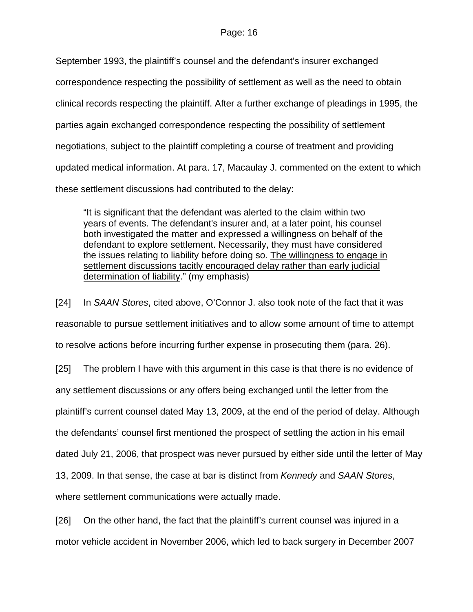September 1993, the plaintiff's counsel and the defendant's insurer exchanged correspondence respecting the possibility of settlement as well as the need to obtain clinical records respecting the plaintiff. After a further exchange of pleadings in 1995, the parties again exchanged correspondence respecting the possibility of settlement negotiations, subject to the plaintiff completing a course of treatment and providing updated medical information. At para. 17, Macaulay J. commented on the extent to which these settlement discussions had contributed to the delay:

"It is significant that the defendant was alerted to the claim within two years of events. The defendant's insurer and, at a later point, his counsel both investigated the matter and expressed a willingness on behalf of the defendant to explore settlement. Necessarily, they must have considered the issues relating to liability before doing so. The willingness to engage in settlement discussions tacitly encouraged delay rather than early judicial determination of liability." (my emphasis)

[24] In *SAAN Stores*, cited above, O'Connor J. also took note of the fact that it was reasonable to pursue settlement initiatives and to allow some amount of time to attempt to resolve actions before incurring further expense in prosecuting them (para. 26).

[25] The problem I have with this argument in this case is that there is no evidence of any settlement discussions or any offers being exchanged until the letter from the plaintiff's current counsel dated May 13, 2009, at the end of the period of delay. Although the defendants' counsel first mentioned the prospect of settling the action in his email dated July 21, 2006, that prospect was never pursued by either side until the letter of May 13, 2009. In that sense, the case at bar is distinct from *Kennedy* and *SAAN Stores*, where settlement communications were actually made.

[26] On the other hand, the fact that the plaintiff's current counsel was injured in a motor vehicle accident in November 2006, which led to back surgery in December 2007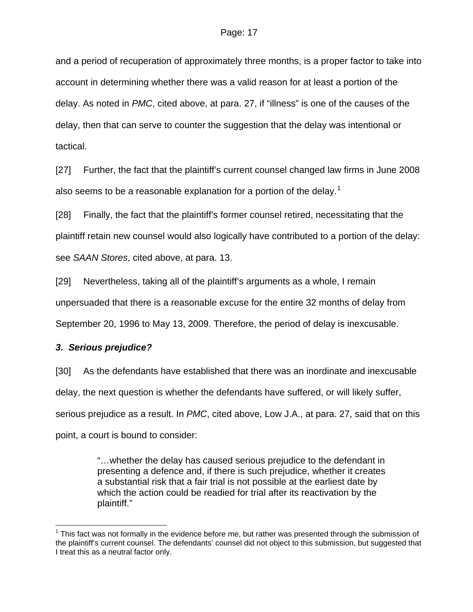and a period of recuperation of approximately three months, is a proper factor to take into account in determining whether there was a valid reason for at least a portion of the delay. As noted in *PMC*, cited above, at para. 27, if "illness" is one of the causes of the delay, then that can serve to counter the suggestion that the delay was intentional or tactical.

[27] Further, the fact that the plaintiff's current counsel changed law firms in June 2008 also seems to be a reasonable explanation for a portion of the delay.<sup>[1](#page-16-0)</sup>

[28] Finally, the fact that the plaintiff's former counsel retired, necessitating that the plaintiff retain new counsel would also logically have contributed to a portion of the delay: see *SAAN Stores*, cited above, at para. 13.

[29] Nevertheless, taking all of the plaintiff's arguments as a whole, I remain unpersuaded that there is a reasonable excuse for the entire 32 months of delay from September 20, 1996 to May 13, 2009. Therefore, the period of delay is inexcusable.

#### *3. Serious prejudice?*

 $\overline{a}$ 

[30] As the defendants have established that there was an inordinate and inexcusable delay, the next question is whether the defendants have suffered, or will likely suffer, serious prejudice as a result. In *PMC*, cited above, Low J.A., at para. 27, said that on this point, a court is bound to consider:

> "…whether the delay has caused serious prejudice to the defendant in presenting a defence and, if there is such prejudice, whether it creates a substantial risk that a fair trial is not possible at the earliest date by which the action could be readied for trial after its reactivation by the plaintiff."

<span id="page-16-0"></span> $1$  This fact was not formally in the evidence before me, but rather was presented through the submission of the plaintiff's current counsel. The defendants' counsel did not object to this submission, but suggested that I treat this as a neutral factor only.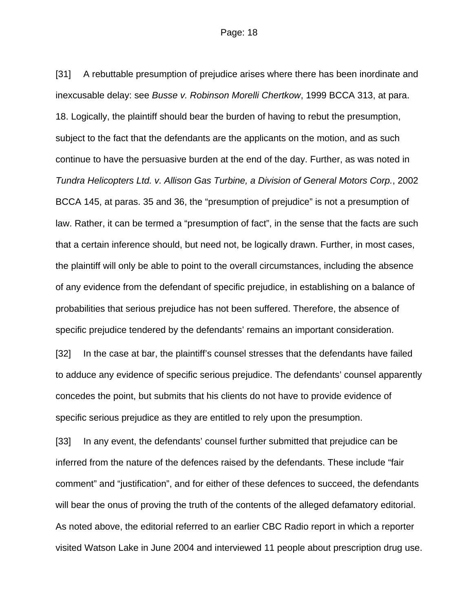[31] A rebuttable presumption of prejudice arises where there has been inordinate and inexcusable delay: see *Busse v. Robinson Morelli Chertkow*, 1999 BCCA 313, at para. 18. Logically, the plaintiff should bear the burden of having to rebut the presumption, subject to the fact that the defendants are the applicants on the motion, and as such continue to have the persuasive burden at the end of the day. Further, as was noted in *Tundra Helicopters Ltd. v. Allison Gas Turbine, a Division of General Motors Corp.*, 2002 BCCA 145, at paras. 35 and 36, the "presumption of prejudice" is not a presumption of law. Rather, it can be termed a "presumption of fact", in the sense that the facts are such that a certain inference should, but need not, be logically drawn. Further, in most cases, the plaintiff will only be able to point to the overall circumstances, including the absence of any evidence from the defendant of specific prejudice, in establishing on a balance of probabilities that serious prejudice has not been suffered. Therefore, the absence of specific prejudice tendered by the defendants' remains an important consideration.

[32] In the case at bar, the plaintiff's counsel stresses that the defendants have failed to adduce any evidence of specific serious prejudice. The defendants' counsel apparently concedes the point, but submits that his clients do not have to provide evidence of specific serious prejudice as they are entitled to rely upon the presumption.

[33] In any event, the defendants' counsel further submitted that prejudice can be inferred from the nature of the defences raised by the defendants. These include "fair comment" and "justification", and for either of these defences to succeed, the defendants will bear the onus of proving the truth of the contents of the alleged defamatory editorial. As noted above, the editorial referred to an earlier CBC Radio report in which a reporter visited Watson Lake in June 2004 and interviewed 11 people about prescription drug use.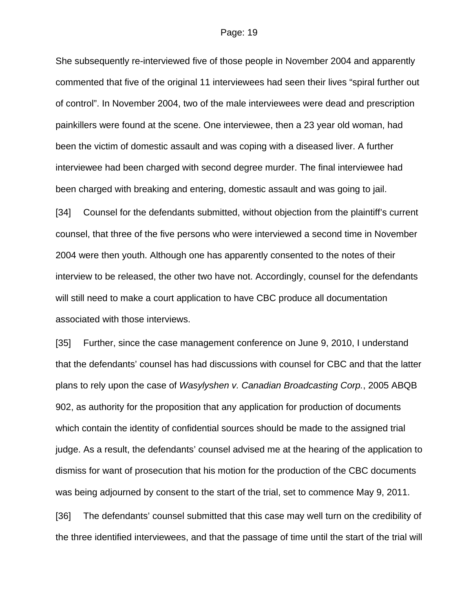She subsequently re-interviewed five of those people in November 2004 and apparently commented that five of the original 11 interviewees had seen their lives "spiral further out of control". In November 2004, two of the male interviewees were dead and prescription painkillers were found at the scene. One interviewee, then a 23 year old woman, had been the victim of domestic assault and was coping with a diseased liver. A further interviewee had been charged with second degree murder. The final interviewee had been charged with breaking and entering, domestic assault and was going to jail.

[34] Counsel for the defendants submitted, without objection from the plaintiff's current counsel, that three of the five persons who were interviewed a second time in November 2004 were then youth. Although one has apparently consented to the notes of their interview to be released, the other two have not. Accordingly, counsel for the defendants will still need to make a court application to have CBC produce all documentation associated with those interviews.

[35] Further, since the case management conference on June 9, 2010, I understand that the defendants' counsel has had discussions with counsel for CBC and that the latter plans to rely upon the case of *Wasylyshen v. Canadian Broadcasting Corp.*, 2005 ABQB 902, as authority for the proposition that any application for production of documents which contain the identity of confidential sources should be made to the assigned trial judge. As a result, the defendants' counsel advised me at the hearing of the application to dismiss for want of prosecution that his motion for the production of the CBC documents was being adjourned by consent to the start of the trial, set to commence May 9, 2011.

[36] The defendants' counsel submitted that this case may well turn on the credibility of the three identified interviewees, and that the passage of time until the start of the trial will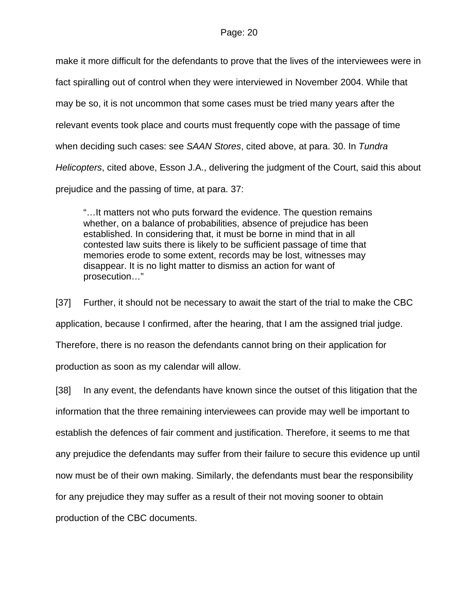make it more difficult for the defendants to prove that the lives of the interviewees were in fact spiralling out of control when they were interviewed in November 2004. While that may be so, it is not uncommon that some cases must be tried many years after the relevant events took place and courts must frequently cope with the passage of time when deciding such cases: see *SAAN Stores*, cited above, at para. 30. In *Tundra Helicopters*, cited above, Esson J.A., delivering the judgment of the Court, said this about prejudice and the passing of time, at para. 37:

"…It matters not who puts forward the evidence. The question remains whether, on a balance of probabilities, absence of prejudice has been established. In considering that, it must be borne in mind that in all contested law suits there is likely to be sufficient passage of time that memories erode to some extent, records may be lost, witnesses may disappear. It is no light matter to dismiss an action for want of prosecution…"

[37] Further, it should not be necessary to await the start of the trial to make the CBC application, because I confirmed, after the hearing, that I am the assigned trial judge. Therefore, there is no reason the defendants cannot bring on their application for production as soon as my calendar will allow.

[38] In any event, the defendants have known since the outset of this litigation that the information that the three remaining interviewees can provide may well be important to establish the defences of fair comment and justification. Therefore, it seems to me that any prejudice the defendants may suffer from their failure to secure this evidence up until now must be of their own making. Similarly, the defendants must bear the responsibility for any prejudice they may suffer as a result of their not moving sooner to obtain production of the CBC documents.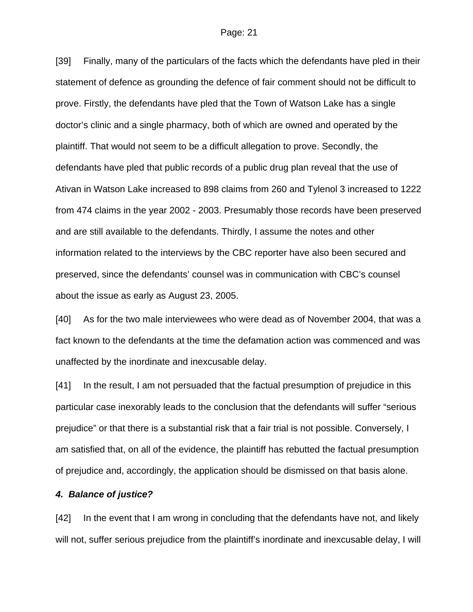[39] Finally, many of the particulars of the facts which the defendants have pled in their statement of defence as grounding the defence of fair comment should not be difficult to prove. Firstly, the defendants have pled that the Town of Watson Lake has a single doctor's clinic and a single pharmacy, both of which are owned and operated by the plaintiff. That would not seem to be a difficult allegation to prove. Secondly, the defendants have pled that public records of a public drug plan reveal that the use of Ativan in Watson Lake increased to 898 claims from 260 and Tylenol 3 increased to 1222 from 474 claims in the year 2002 - 2003. Presumably those records have been preserved and are still available to the defendants. Thirdly, I assume the notes and other information related to the interviews by the CBC reporter have also been secured and preserved, since the defendants' counsel was in communication with CBC's counsel about the issue as early as August 23, 2005.

[40] As for the two male interviewees who were dead as of November 2004, that was a fact known to the defendants at the time the defamation action was commenced and was unaffected by the inordinate and inexcusable delay.

[41] In the result, I am not persuaded that the factual presumption of prejudice in this particular case inexorably leads to the conclusion that the defendants will suffer "serious prejudice" or that there is a substantial risk that a fair trial is not possible. Conversely, I am satisfied that, on all of the evidence, the plaintiff has rebutted the factual presumption of prejudice and, accordingly, the application should be dismissed on that basis alone.

#### *4. Balance of justice?*

[42] In the event that I am wrong in concluding that the defendants have not, and likely will not, suffer serious prejudice from the plaintiff's inordinate and inexcusable delay, I will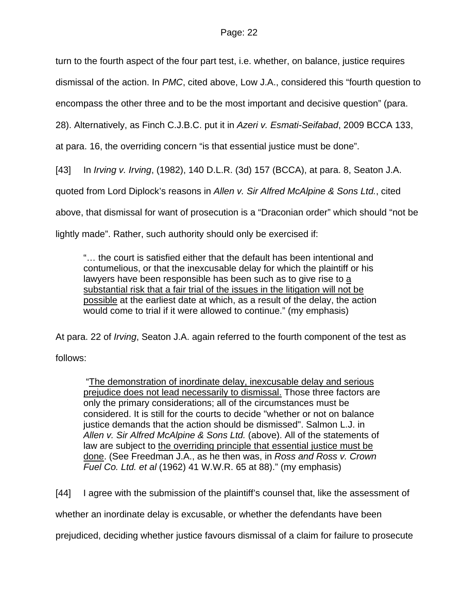turn to the fourth aspect of the four part test, i.e. whether, on balance, justice requires

dismissal of the action. In *PMC*, cited above, Low J.A., considered this "fourth question to

encompass the other three and to be the most important and decisive question" (para.

28). Alternatively, as Finch C.J.B.C. put it in *Azeri v. Esmati-Seifabad*, 2009 BCCA 133,

at para. 16, the overriding concern "is that essential justice must be done".

[43] In *Irving v. Irving*, (1982), 140 D.L.R. (3d) 157 (BCCA), at para. 8, Seaton J.A.

quoted from Lord Diplock's reasons in *Allen v. Sir Alfred McAlpine & Sons Ltd.*, cited

above, that dismissal for want of prosecution is a "Draconian order" which should "not be

lightly made". Rather, such authority should only be exercised if:

"… the court is satisfied either that the default has been intentional and contumelious, or that the inexcusable delay for which the plaintiff or his lawyers have been responsible has been such as to give rise to a substantial risk that a fair trial of the issues in the litigation will not be possible at the earliest date at which, as a result of the delay, the action would come to trial if it were allowed to continue." (my emphasis)

At para. 22 of *Irving*, Seaton J.A. again referred to the fourth component of the test as

follows:

 "The demonstration of inordinate delay, inexcusable delay and serious prejudice does not lead necessarily to dismissal. Those three factors are only the primary considerations; all of the circumstances must be considered. It is still for the courts to decide "whether or not on balance justice demands that the action should be dismissed". Salmon L.J. in *Allen v. Sir Alfred McAlpine & Sons Ltd.* (above). All of the statements of law are subject to the overriding principle that essential justice must be done. (See Freedman J.A., as he then was, in *Ross and Ross v. Crown Fuel Co. Ltd. et al* [\(1962\) 41 W.W.R. 65](http://www.lexisnexis.com/ca/legal/search/runRemoteLink.do?langcountry=CA&linkInfo=F%23CA%23WWR%23decisiondate%251962%25sel2%2541%25year%251962%25page%2565%25sel1%251962%25vol%2541%25&risb=21_T10022269660&bct=A&service=citation&A=0.8815837967555809) at 88)." (my emphasis)

[44] I agree with the submission of the plaintiff's counsel that, like the assessment of

whether an inordinate delay is excusable, or whether the defendants have been

prejudiced, deciding whether justice favours dismissal of a claim for failure to prosecute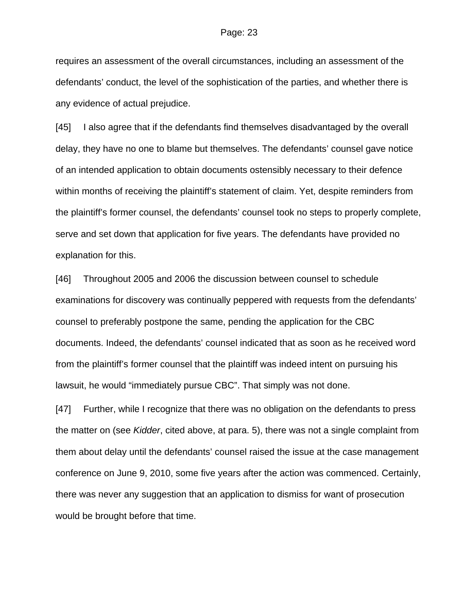requires an assessment of the overall circumstances, including an assessment of the defendants' conduct, the level of the sophistication of the parties, and whether there is any evidence of actual prejudice.

[45] I also agree that if the defendants find themselves disadvantaged by the overall delay, they have no one to blame but themselves. The defendants' counsel gave notice of an intended application to obtain documents ostensibly necessary to their defence within months of receiving the plaintiff's statement of claim. Yet, despite reminders from the plaintiff's former counsel, the defendants' counsel took no steps to properly complete, serve and set down that application for five years. The defendants have provided no explanation for this.

[46] Throughout 2005 and 2006 the discussion between counsel to schedule examinations for discovery was continually peppered with requests from the defendants' counsel to preferably postpone the same, pending the application for the CBC documents. Indeed, the defendants' counsel indicated that as soon as he received word from the plaintiff's former counsel that the plaintiff was indeed intent on pursuing his lawsuit, he would "immediately pursue CBC". That simply was not done.

[47] Further, while I recognize that there was no obligation on the defendants to press the matter on (see *Kidder*, cited above, at para. 5), there was not a single complaint from them about delay until the defendants' counsel raised the issue at the case management conference on June 9, 2010, some five years after the action was commenced. Certainly, there was never any suggestion that an application to dismiss for want of prosecution would be brought before that time.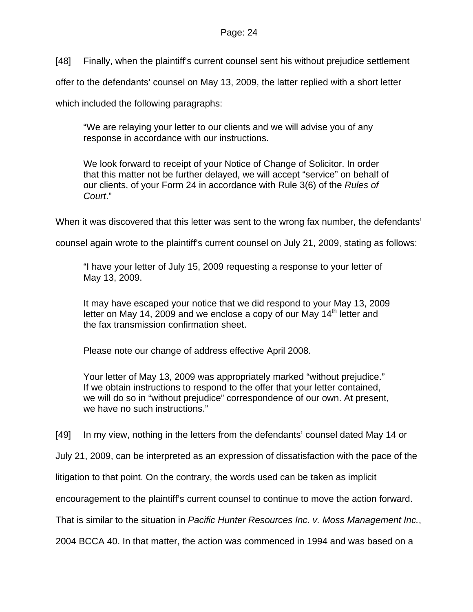[48] Finally, when the plaintiff's current counsel sent his without prejudice settlement

offer to the defendants' counsel on May 13, 2009, the latter replied with a short letter

which included the following paragraphs:

"We are relaying your letter to our clients and we will advise you of any response in accordance with our instructions.

We look forward to receipt of your Notice of Change of Solicitor. In order that this matter not be further delayed, we will accept "service" on behalf of our clients, of your Form 24 in accordance with Rule 3(6) of the *Rules of Court*."

When it was discovered that this letter was sent to the wrong fax number, the defendants'

counsel again wrote to the plaintiff's current counsel on July 21, 2009, stating as follows:

"I have your letter of July 15, 2009 requesting a response to your letter of May 13, 2009.

It may have escaped your notice that we did respond to your May 13, 2009 letter on May 14, 2009 and we enclose a copy of our May  $14<sup>th</sup>$  letter and the fax transmission confirmation sheet.

Please note our change of address effective April 2008.

Your letter of May 13, 2009 was appropriately marked "without prejudice." If we obtain instructions to respond to the offer that your letter contained, we will do so in "without prejudice" correspondence of our own. At present, we have no such instructions."

[49] In my view, nothing in the letters from the defendants' counsel dated May 14 or

July 21, 2009, can be interpreted as an expression of dissatisfaction with the pace of the

litigation to that point. On the contrary, the words used can be taken as implicit

encouragement to the plaintiff's current counsel to continue to move the action forward.

That is similar to the situation in *Pacific Hunter Resources Inc. v. Moss Management Inc.*,

2004 BCCA 40. In that matter, the action was commenced in 1994 and was based on a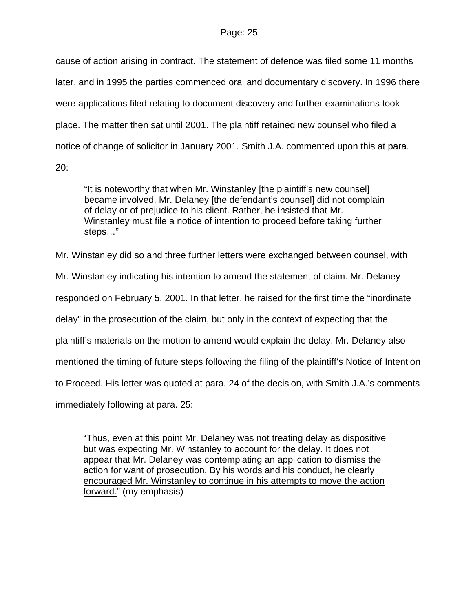cause of action arising in contract. The statement of defence was filed some 11 months later, and in 1995 the parties commenced oral and documentary discovery. In 1996 there were applications filed relating to document discovery and further examinations took place. The matter then sat until 2001. The plaintiff retained new counsel who filed a notice of change of solicitor in January 2001. Smith J.A. commented upon this at para.

20:

"It is noteworthy that when Mr. Winstanley [the plaintiff's new counsel] became involved, Mr. Delaney [the defendant's counsel] did not complain of delay or of prejudice to his client. Rather, he insisted that Mr. Winstanley must file a notice of intention to proceed before taking further steps…"

Mr. Winstanley did so and three further letters were exchanged between counsel, with

Mr. Winstanley indicating his intention to amend the statement of claim. Mr. Delaney

responded on February 5, 2001. In that letter, he raised for the first time the "inordinate

delay" in the prosecution of the claim, but only in the context of expecting that the

plaintiff's materials on the motion to amend would explain the delay. Mr. Delaney also

mentioned the timing of future steps following the filing of the plaintiff's Notice of Intention

to Proceed. His letter was quoted at para. 24 of the decision, with Smith J.A.'s comments

immediately following at para. 25:

"Thus, even at this point Mr. Delaney was not treating delay as dispositive but was expecting Mr. Winstanley to account for the delay. It does not appear that Mr. Delaney was contemplating an application to dismiss the action for want of prosecution. By his words and his conduct, he clearly encouraged Mr. Winstanley to continue in his attempts to move the action forward." (my emphasis)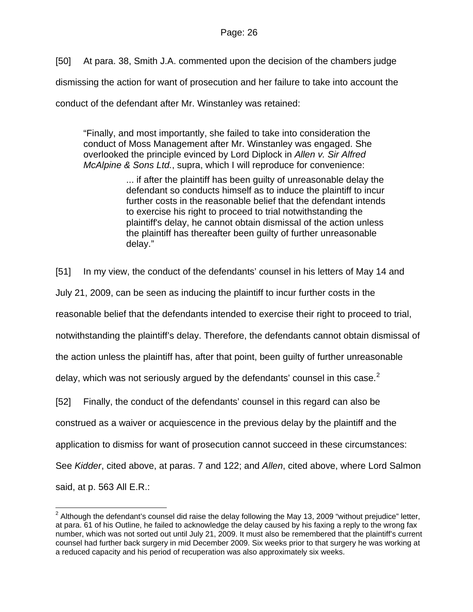[50] At para. 38, Smith J.A. commented upon the decision of the chambers judge

dismissing the action for want of prosecution and her failure to take into account the

conduct of the defendant after Mr. Winstanley was retained:

"Finally, and most importantly, she failed to take into consideration the conduct of Moss Management after Mr. Winstanley was engaged. She overlooked the principle evinced by Lord Diplock in *Allen v. Sir Alfred McAlpine & Sons Ltd.*, supra, which I will reproduce for convenience:

> ... if after the plaintiff has been guilty of unreasonable delay the defendant so conducts himself as to induce the plaintiff to incur further costs in the reasonable belief that the defendant intends to exercise his right to proceed to trial notwithstanding the plaintiff's delay, he cannot obtain dismissal of the action unless the plaintiff has thereafter been guilty of further unreasonable delay."

[51] In my view, the conduct of the defendants' counsel in his letters of May 14 and

July 21, 2009, can be seen as inducing the plaintiff to incur further costs in the

reasonable belief that the defendants intended to exercise their right to proceed to trial,

notwithstanding the plaintiff's delay. Therefore, the defendants cannot obtain dismissal of

the action unless the plaintiff has, after that point, been guilty of further unreasonable

delay, which was not seriously argued by the defendants' counsel in this case.<sup>[2](#page-25-0)</sup>

[52] Finally, the conduct of the defendants' counsel in this regard can also be

construed as a waiver or acquiescence in the previous delay by the plaintiff and the

application to dismiss for want of prosecution cannot succeed in these circumstances:

See *Kidder*, cited above, at paras. 7 and 122; and *Allen*, cited above, where Lord Salmon

said, at p. 563 All E.R.:

<span id="page-25-0"></span> 2 Although the defendant's counsel did raise the delay following the May 13, 2009 "without prejudice" letter, at para. 61 of his Outline, he failed to acknowledge the delay caused by his faxing a reply to the wrong fax number, which was not sorted out until July 21, 2009. It must also be remembered that the plaintiff's current counsel had further back surgery in mid December 2009. Six weeks prior to that surgery he was working at a reduced capacity and his period of recuperation was also approximately six weeks.